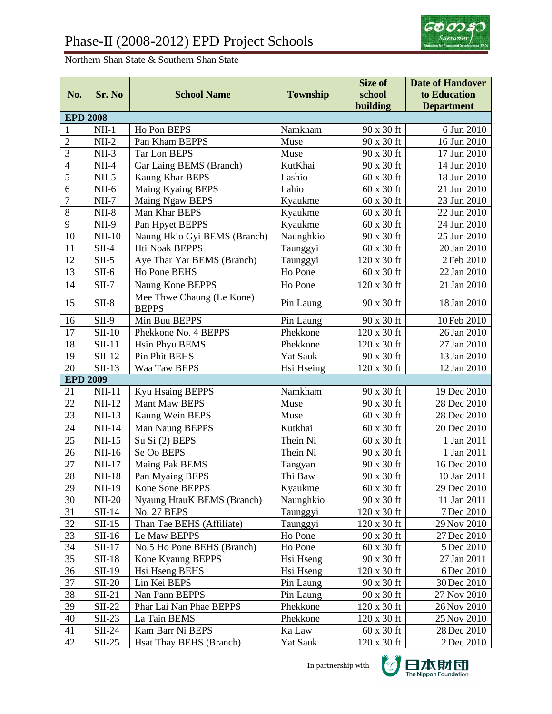

## Northern Shan State & Southern Shan State

|                 |               |                                           |                 | Size of            | <b>Date of Handover</b> |  |
|-----------------|---------------|-------------------------------------------|-----------------|--------------------|-------------------------|--|
| No.             | Sr. No        | <b>School Name</b>                        | <b>Township</b> | school             | to Education            |  |
|                 |               |                                           |                 | building           | <b>Department</b>       |  |
| <b>EPD 2008</b> |               |                                           |                 |                    |                         |  |
| $\mathbf{1}$    | $NII-1$       | Ho Pon BEPS                               | Namkham         | 90 x 30 ft         | 6 Jun 2010              |  |
| $\overline{c}$  | $NII-2$       | Pan Kham BEPPS                            | Muse            | 90 x 30 ft         | 16 Jun 2010             |  |
| $\overline{3}$  | $NII-3$       | <b>Tar Lon BEPS</b>                       | Muse            | 90 x 30 ft         | 17 Jun 2010             |  |
| $\overline{4}$  | $NII-4$       | Gar Laing BEMS (Branch)                   | KutKhai         | 90 x 30 ft         | 14 Jun 2010             |  |
| $\overline{5}$  | $NII-5$       | <b>Kaung Khar BEPS</b>                    | Lashio          | 60 x 30 ft         | 18 Jun 2010             |  |
| 6               | $NII-6$       | Maing Kyaing BEPS                         | Lahio           | 60 x 30 ft         | 21 Jun 2010             |  |
| $\overline{7}$  | $NII-7$       | Maing Ngaw BEPS                           | Kyaukme         | $60 \times 30$ ft  | 23 Jun 2010             |  |
| $\,8\,$         | $NII-8$       | Man Khar BEPS                             | Kyaukme         | $60 \times 30$ ft  | 22 Jun 2010             |  |
| 9               | $NII-9$       | Pan Hpyet BEPPS                           | Kyaukme         | $60 \times 30$ ft  | 24 Jun 2010             |  |
| 10              | $NII-10$      | Naung Hkio Gyi BEMS (Branch)              | Naunghkio       | 90 x 30 ft         | 25 Jun 2010             |  |
| 11              | $SII-4$       | Hti Noak BEPPS                            | Taunggyi        | 60 x 30 ft         | 20 Jan 2010             |  |
| 12              | $SII-5$       | Aye Thar Yar BEMS (Branch)                | Taunggyi        | 120 x 30 ft        | 2 Feb 2010              |  |
| 13              | $SII-6$       | Ho Pone BEHS                              | Ho Pone         | 60 x 30 ft         | 22 Jan 2010             |  |
| 14              | $SII-7$       | Naung Kone BEPPS                          | Ho Pone         | 120 x 30 ft        | 21 Jan 2010             |  |
| 15              | $SII-8$       | Mee Thwe Chaung (Le Kone)<br><b>BEPPS</b> | Pin Laung       | 90 x 30 ft         | 18 Jan 2010             |  |
| 16              | $SII-9$       | Min Buu BEPPS                             | Pin Laung       | 90 x 30 ft         | 10 Feb 2010             |  |
| 17              | $SII-10$      | Phekkone No. 4 BEPPS                      | Phekkone        | 120 x 30 ft        | 26 Jan 2010             |  |
| 18              | $SII-11$      | <b>Hsin Phyu BEMS</b>                     | Phekkone        | 120 x 30 ft        | 27 Jan 2010             |  |
| 19              | $SII-12$      | <b>Pin Phit BEHS</b>                      | <b>Yat Sauk</b> | 90 x 30 ft         | 13 Jan 2010             |  |
| 20              | $SII-13$      | Waa Taw BEPS                              | Hsi Hseing      | 120 x 30 ft        | 12 Jan 2010             |  |
| <b>EPD 2009</b> |               |                                           |                 |                    |                         |  |
| 21              | $NII-11$      | <b>Kyu Hsaing BEPPS</b>                   | Namkham         | 90 x 30 ft         | 19 Dec 2010             |  |
| 22              | $NII-12$      | Mant Maw BEPS                             | Muse            | 90 x 30 ft         | 28 Dec 2010             |  |
| 23              | $NII-13$      | Kaung Wein BEPS                           | Muse            | $60 \times 30$ ft  | 28 Dec 2010             |  |
| 24              | $NII-14$      | Man Naung BEPPS                           | Kutkhai         | $60 \times 30$ ft  | 20 Dec 2010             |  |
| 25              | $NII-15$      | Su Si (2) BEPS                            | Thein Ni        | $60 \times 30$ ft  | 1 Jan 2011              |  |
| 26              | NII-16        | Se Oo BEPS                                | Thein Ni        | 90 x 30 ft         | 1 Jan 2011              |  |
| 27              | <b>NII-17</b> | Maing Pak BEMS                            | Tangyan         | 90 x 30 ft         | 16 Dec 2010             |  |
| 28              | $NII-18$      | Pan Myaing BEPS                           | Thi Baw         | 90 x 30 ft         | 10 Jan 2011             |  |
| 29              | <b>NII-19</b> | Kone Sone BEPPS                           | Kyaukme         | $60 \times 30$ ft  | 29 Dec 2010             |  |
| 30              | $NII-20$      | Nyaung HtauK BEMS (Branch)                | Naunghkio       | 90 x 30 ft         | 11 Jan 2011             |  |
| 31              | $SII-14$      | No. 27 BEPS                               | Taunggyi        | $120 \times 30$ ft | 7 Dec 2010              |  |
| 32              | $SII-15$      | Than Tae BEHS (Affiliate)                 | Taunggyi        | $120 \times 30$ ft | 29 Nov 2010             |  |
| 33              | $SII-16$      | Le Maw BEPPS                              | Ho Pone         | 90 x 30 ft         | 27 Dec 2010             |  |
| 34              | $SII-17$      | No.5 Ho Pone BEHS (Branch)                | Ho Pone         | $60 \times 30$ ft  | 5 Dec 2010              |  |
| 35              | $SII-18$      | Kone Kyaung BEPPS                         | Hsi Hseng       | 90 x 30 ft         | 27 Jan 2011             |  |
| 36              | $SII-19$      | Hsi Hseng BEHS                            | Hsi Hseng       | 120 x 30 ft        | 6 Dec 2010              |  |
| 37              | <b>SII-20</b> | Lin Kei BEPS                              | Pin Laung       | 90 x 30 ft         | 30 Dec 2010             |  |
| 38              | $SII-21$      | Nan Pann BEPPS                            | Pin Laung       | 90 x 30 ft         | 27 Nov 2010             |  |
| 39              | $SII-22$      | Phar Lai Nan Phae BEPPS                   | Phekkone        | $120 \times 30$ ft | 26 Nov 2010             |  |
| 40              | $SII-23$      | La Tain BEMS                              | Phekkone        | $120 \times 30$ ft | 25 Nov 2010             |  |
| 41              | $SII-24$      | Kam Barr Ni BEPS                          | Ka Law          | $60$ x $30$ ft     | 28 Dec 2010             |  |
| 42              | $SII-25$      | Hsat Thay BEHS (Branch)                   | Yat Sauk        | 120 x 30 ft        | 2 Dec 2010              |  |

In partnership with

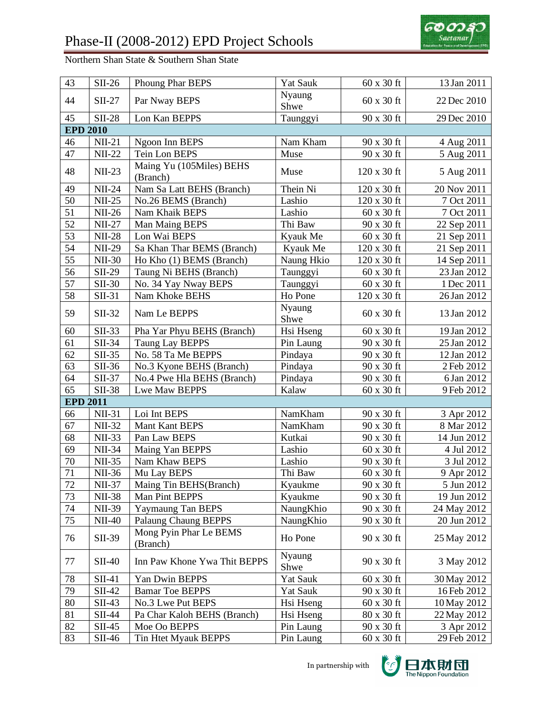

Northern Shan State & Southern Shan State

| 43              | $SII-26$      | Phoung Phar BEPS                     | <b>Yat Sauk</b> | 60 x 30 ft        | 13 Jan 2011 |
|-----------------|---------------|--------------------------------------|-----------------|-------------------|-------------|
| 44              | $SII-27$      | Par Nway BEPS                        | Nyaung<br>Shwe  | 60 x 30 ft        | 22 Dec 2010 |
| 45              | <b>SII-28</b> | Lon Kan BEPPS                        | Taunggyi        | 90 x 30 ft        | 29 Dec 2010 |
| <b>EPD 2010</b> |               |                                      |                 |                   |             |
| 46              | $NII-21$      | Ngoon Inn BEPS                       | Nam Kham        | 90 x 30 ft        | 4 Aug 2011  |
| 47              | <b>NII-22</b> | Tein Lon BEPS                        | Muse            | 90 x 30 ft        | 5 Aug 2011  |
| 48              | $NII-23$      | Maing Yu (105Miles) BEHS<br>(Branch) | Muse            | 120 x 30 ft       | 5 Aug 2011  |
| 49              | $NII-24$      | Nam Sa Latt BEHS (Branch)            | Thein Ni        | 120 x 30 ft       | 20 Nov 2011 |
| 50              | $NII-25$      | No.26 BEMS (Branch)                  | Lashio          | 120 x 30 ft       | 7 Oct 2011  |
| 51              | <b>NII-26</b> | Nam Khaik BEPS                       | Lashio          | 60 x 30 ft        | 7 Oct 2011  |
| 52              | <b>NII-27</b> | Man Maing BEPS                       | Thi Baw         | 90 x 30 ft        | 22 Sep 2011 |
| 53              | <b>NII-28</b> | Lon Wai BEPS                         | Kyauk Me        | 60 x 30 ft        | 21 Sep 2011 |
| 54              | <b>NII-29</b> | Sa Khan Thar BEMS (Branch)           | Kyauk Me        | 120 x 30 ft       | 21 Sep 2011 |
| $\overline{55}$ | $NII-30$      | Ho Kho (1) BEMS (Branch)             | Naung Hkio      | 120 x 30 ft       | 14 Sep 2011 |
| 56              | <b>SII-29</b> | Taung Ni BEHS (Branch)               | Taunggyi        | 60 x 30 ft        | 23 Jan 2012 |
| 57              | <b>SII-30</b> | No. 34 Yay Nway BEPS                 | Taunggyi        | 60 x 30 ft        | 1 Dec 2011  |
| 58              | $SII-31$      | Nam Khoke BEHS                       | Ho Pone         | 120 x 30 ft       | 26 Jan 2012 |
| 59              | $SII-32$      | Nam Le BEPPS                         | Nyaung<br>Shwe  | 60 x 30 ft        | 13 Jan 2012 |
| 60              | $SII-33$      | Pha Yar Phyu BEHS (Branch)           | Hsi Hseng       | 60 x 30 ft        | 19 Jan 2012 |
| 61              | $SII-34$      | <b>Taung Lay BEPPS</b>               | Pin Laung       | 90 x 30 ft        | 25 Jan 2012 |
| 62              | $SII-35$      | No. 58 Ta Me BEPPS                   | Pindaya         | 90 x 30 ft        | 12 Jan 2012 |
| 63              | $SII-36$      | No.3 Kyone BEHS (Branch)             | Pindaya         | 90 x 30 ft        | 2 Feb 2012  |
| 64              | $SII-37$      | No.4 Pwe Hla BEHS (Branch)           | Pindaya         | 90 x 30 ft        | 6 Jan 2012  |
| 65              | $SII-38$      | Lwe Maw BEPPS                        | Kalaw           | 60 x 30 ft        | 9 Feb 2012  |
| <b>EPD 2011</b> |               |                                      |                 |                   |             |
| 66              | <b>NII-31</b> | Loi Int BEPS                         | NamKham         | 90 x 30 ft        | 3 Apr 2012  |
| 67              | <b>NII-32</b> | Mant Kant BEPS                       | NamKham         | 90 x 30 ft        | 8 Mar 2012  |
| 68              | <b>NII-33</b> | Pan Law BEPS                         | Kutkai          | 90 x 30 ft        | 14 Jun 2012 |
| 69              | <b>NII-34</b> | Maing Yan BEPPS                      | Lashio          | $60 \times 30$ ft | 4 Jul 2012  |
| $70\,$          | <b>NII-35</b> | Nam Khaw BEPS                        | Lashio          | 90 x 30 ft        | 3 Jul 2012  |
| $\overline{71}$ | NII-36        | Mu Lay BEPS                          | Thi Baw         | 60 x 30 ft        | 9 Apr 2012  |
| 72              | NII-37        | Maing Tin BEHS(Branch)               | Kyaukme         | 90 x 30 ft        | 5 Jun 2012  |
| 73              | <b>NII-38</b> | Man Pint BEPPS                       | Kyaukme         | 90 x 30 ft        | 19 Jun 2012 |
| 74              | NII-39        | Yaymaung Tan BEPS                    | NaungKhio       | 90 x 30 ft        | 24 May 2012 |
| 75              | $NII-40$      | <b>Palaung Chaung BEPPS</b>          | NaungKhio       | 90 x 30 ft        | 20 Jun 2012 |
| 76              | SII-39        | Mong Pyin Phar Le BEMS<br>(Branch)   | Ho Pone         | 90 x 30 ft        | 25 May 2012 |
| 77              | $SII-40$      | Inn Paw Khone Ywa Thit BEPPS         | Nyaung<br>Shwe  | 90 x 30 ft        | 3 May 2012  |
| 78              | $SII-41$      | Yan Dwin BEPPS                       | Yat Sauk        | $60 \times 30$ ft | 30 May 2012 |
| 79              | $SII-42$      | <b>Bamar Toe BEPPS</b>               | <b>Yat Sauk</b> | 90 x 30 ft        | 16 Feb 2012 |
| 80              | $SII-43$      | No.3 Lwe Put BEPS                    | Hsi Hseng       | 60 x 30 ft        | 10 May 2012 |
| 81              | $SII-44$      | Pa Char Kaloh BEHS (Branch)          | Hsi Hseng       | 80 x 30 ft        | 22 May 2012 |
| 82              | $SII-45$      | Moe Oo BEPPS                         | Pin Laung       | $90 \times 30$ ft | 3 Apr 2012  |
| 83              | $SII-46$      | Tin Htet Myauk BEPPS                 | Pin Laung       | 60 x 30 ft        | 29 Feb 2012 |